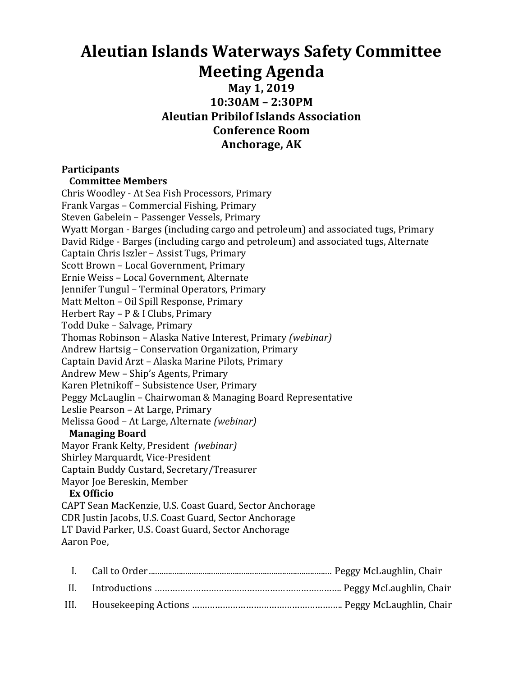# **Aleutian Islands Waterways Safety Committee Meeting Agenda**

## **May 1, 2019 10:30AM – 2:30PM Aleutian Pribilof Islands Association Conference Room** Anchorage, AK

### **Participants**

#### **Committee Members**

Chris Woodley - At Sea Fish Processors, Primary Frank Vargas - Commercial Fishing, Primary Steven Gabelein - Passenger Vessels, Primary Wyatt Morgan - Barges (including cargo and petroleum) and associated tugs, Primary David Ridge - Barges (including cargo and petroleum) and associated tugs, Alternate Captain Chris Iszler - Assist Tugs, Primary Scott Brown - Local Government, Primary Ernie Weiss - Local Government, Alternate Jennifer Tungul - Terminal Operators, Primary Matt Melton - Oil Spill Response, Primary Herbert Ray - P & I Clubs, Primary Todd Duke - Salvage, Primary Thomas Robinson - Alaska Native Interest, Primary *(webinar)* Andrew Hartsig - Conservation Organization, Primary Captain David Arzt - Alaska Marine Pilots, Primary Andrew Mew - Ship's Agents, Primary Karen Pletnikoff - Subsistence User, Primary Peggy McLauglin - Chairwoman & Managing Board Representative Leslie Pearson - At Large, Primary Melissa Good – At Large, Alternate *(webinar)* **Managing Board** Mayor Frank Kelty, President *(webinar)* Shirley Marquardt, Vice-President Captain Buddy Custard, Secretary/Treasurer Mayor Joe Bereskin, Member **Ex Officio** CAPT Sean MacKenzie, U.S. Coast Guard, Sector Anchorage CDR Justin Jacobs, U.S. Coast Guard, Sector Anchorage LT David Parker, U.S. Coast Guard, Sector Anchorage Aaron Poe.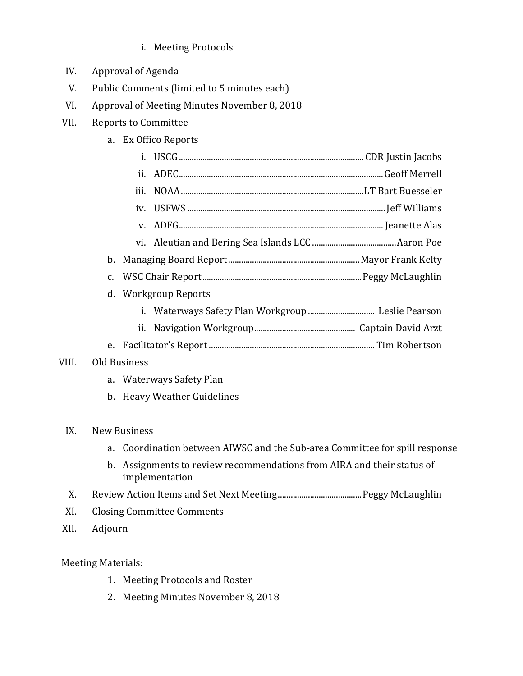- i. Meeting Protocols
- IV. Approval of Agenda
- V. Public Comments (limited to 5 minutes each)
- VI. Approval of Meeting Minutes November 8, 2018
- VII. Reports to Committee
	- a. Ex Offico Reports

|       |                     | ii.         |                          |  |  |
|-------|---------------------|-------------|--------------------------|--|--|
|       |                     | iii.        |                          |  |  |
|       |                     |             |                          |  |  |
|       |                     | $V_{\rm L}$ |                          |  |  |
|       |                     |             |                          |  |  |
| b.    |                     |             |                          |  |  |
|       | $C_{\bullet}$       |             |                          |  |  |
|       | d.                  |             | <b>Workgroup Reports</b> |  |  |
|       |                     |             |                          |  |  |
|       |                     | ii.         |                          |  |  |
|       |                     |             |                          |  |  |
| VIII. | <b>Old Business</b> |             |                          |  |  |
|       | a.                  |             | Waterways Safety Plan    |  |  |
|       | b.                  |             | Heavy Weather Guidelines |  |  |
|       |                     |             |                          |  |  |
| IX.   | <b>New Business</b> |             |                          |  |  |

- a. Coordination between AIWSC and the Sub-area Committee for spill response
- b. Assignments to review recommendations from AIRA and their status of implementation
- X. Review Action Items and Set Next Meeting.......................................Peggy McLaughlin
- XI. Closing Committee Comments
- XII. Adjourn

## Meeting Materials:

- 1. Meeting Protocols and Roster
- 2. Meeting Minutes November 8, 2018